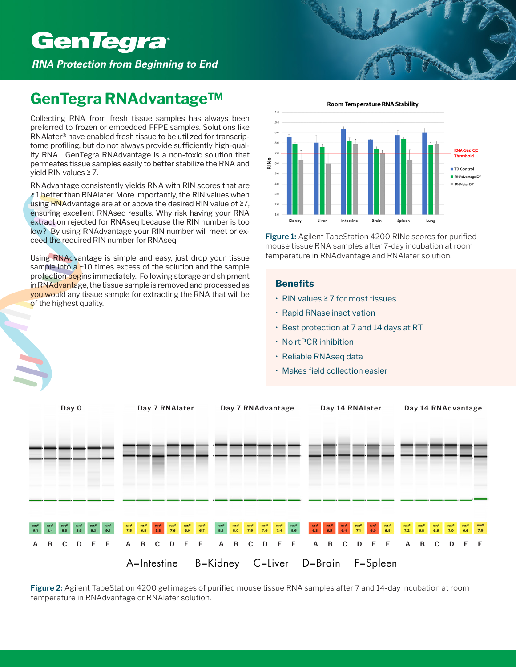# **GenTegra**®

*RNA Protection from Beginning to End*

# **GenTegra RNAdvantage™**

Collecting RNA from fresh tissue samples has always been preferred to frozen or embedded FFPE samples. Solutions like RNAlater® have enabled fresh tissue to be utilized for transcriptome profiling, but do not always provide sufficiently high-quality RNA. GenTegra RNAdvantage is a non-toxic solution that permeates tissue samples easily to better stabilize the RNA and yield RIN values ≥ 7.

RNAdvantage consistently yields RNA with RIN scores that are ≥ 1 better than RNAlater. More importantly, the RIN values when using RNAdvantage are at or above the desired RIN value of ≥7, ensuring excellent RNAseq results. Why risk having your RNA extraction rejected for RNAseq because the RIN number is too low? By using RNAdvantage your RIN number will meet or exceed the required RIN number for RNAseq.

Using RNAdvantage is simple and easy, just drop your tissue sample into  $a - 10$  times excess of the solution and the sample protection begins immediately. Following storage and shipment in RNAdvantage, the tissue sample is removed and processed as you would any tissue sample for extracting the RNA that will be of the highest quality.



**Figure 1:** Agilent TapeStation 4200 RINe scores for purified mouse tissue RNA samples after 7-day incubation at room temperature in RNAdvantage and RNAlater solution.

# **Benefits**

- RIN values ≥ 7 for most tissues
- Rapid RNase inactivation
- Best protection at 7 and 14 days at RT
- No rtPCR inhibition
- Reliable RNAseq data
- Makes field collection easier



**Figure 2:** Agilent TapeStation 4200 gel images of purified mouse tissue RNA samples after 7 and 14-day incubation at room temperature in RNAdvantage or RNAlater solution.